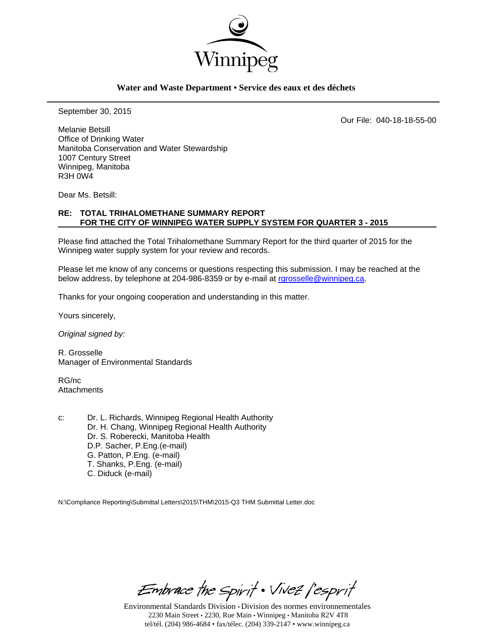

### **Water and Waste Department • Service des eaux et des déchets**

September 30, 2015

Our File: 040-18-18-55-00

Melanie Betsill Office of Drinking Water Manitoba Conservation and Water Stewardship 1007 Century Street Winnipeg, Manitoba R3H 0W4

Dear Ms. Betsill:

### **RE: TOTAL TRIHALOMETHANE SUMMARY REPORT FOR THE CITY OF WINNIPEG WATER SUPPLY SYSTEM FOR QUARTER 3 - 2015**

Please find attached the Total Trihalomethane Summary Report for the third quarter of 2015 for the Winnipeg water supply system for your review and records.

Please let me know of any concerns or questions respecting this submission. I may be reached at the below address, by telephone at 204-986-8359 or by e-mail at rgrosselle@winnipeg.ca.

Thanks for your ongoing cooperation and understanding in this matter.

Yours sincerely,

*Original signed by:* 

R. Grosselle Manager of Environmental Standards

RG/nc **Attachments** 

c: Dr. L. Richards, Winnipeg Regional Health Authority Dr. H. Chang, Winnipeg Regional Health Authority Dr. S. Roberecki, Manitoba Health D.P. Sacher, P.Eng.(e-mail) G. Patton, P.Eng. (e-mail) T. Shanks, P.Eng. (e-mail) C. Diduck (e-mail)

N:\Compliance Reporting\Submittal Letters\2015\THM\2015-Q3 THM Submittal Letter.doc

Embrace the Spirit . Vivez l'esprit

Environmental Standards Division • Division des normes environnementales 2230 Main Street • 2230, Rue Main • Winnipeg • Manitoba R2V 4T8 tel/tél. (204) 986-4684 • fax/télec. (204) 339-2147 • www.winnipeg.ca